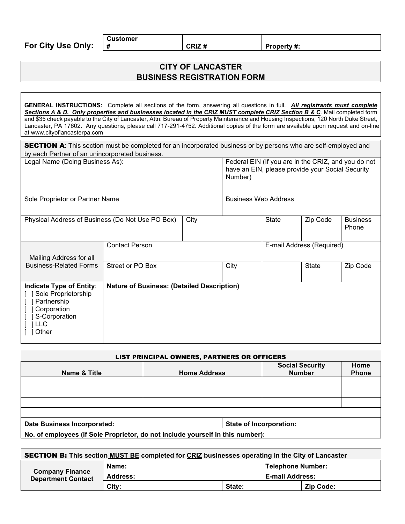**For City Use Only:**

**# CRIZ # Property #:**

## **CITY OF LANCASTER BUSINESS REGISTRATION FORM**

**GENERAL INSTRUCTIONS:** Complete all sections of the form, answering all questions in full. *All registrants must complete Sections A & D. Only properties and businesses located in the CRIZ MUST complete CRIZ Section B & C*. Mail completed form and \$35 check payable to the City of Lancaster, Attn: Bureau of Property Maintenance and Housing Inspections, 120 North Duke Street, Lancaster, PA 17602. Any questions, please call 717-291-4752. Additional copies of the form are available upon request and on-line at www.cityoflancasterpa.com

| by each Partner of an unincorporated business.                                                                       | <b>SECTION A:</b> This section must be completed for an incorporated business or by persons who are self-employed and |                                                                                                                    |              |          |                           |          |
|----------------------------------------------------------------------------------------------------------------------|-----------------------------------------------------------------------------------------------------------------------|--------------------------------------------------------------------------------------------------------------------|--------------|----------|---------------------------|----------|
| Legal Name (Doing Business As):                                                                                      |                                                                                                                       | Federal EIN (If you are in the CRIZ, and you do not<br>have an EIN, please provide your Social Security<br>Number) |              |          |                           |          |
| Sole Proprietor or Partner Name                                                                                      |                                                                                                                       | <b>Business Web Address</b>                                                                                        |              |          |                           |          |
| Physical Address of Business (Do Not Use PO Box)<br>City                                                             |                                                                                                                       |                                                                                                                    | <b>State</b> | Zip Code | <b>Business</b><br>Phone  |          |
| Mailing Address for all                                                                                              | <b>Contact Person</b>                                                                                                 |                                                                                                                    |              |          | E-mail Address (Required) |          |
| <b>Business-Related Forms</b>                                                                                        | Street or PO Box                                                                                                      |                                                                                                                    | City         |          | <b>State</b>              | Zip Code |
| Indicate Type of Entity:<br>Sole Proprietorship<br>] Partnership<br>Corporation<br>S-Corporation<br>1 LLC<br>1 Other | <b>Nature of Business: (Detailed Description)</b>                                                                     |                                                                                                                    |              |          |                           |          |

| <b>LIST PRINCIPAL OWNERS, PARTNERS OR OFFICERS</b>                             |                     |  |                                         |                      |  |
|--------------------------------------------------------------------------------|---------------------|--|-----------------------------------------|----------------------|--|
| Name & Title                                                                   | <b>Home Address</b> |  | <b>Social Security</b><br><b>Number</b> | Home<br><b>Phone</b> |  |
|                                                                                |                     |  |                                         |                      |  |
|                                                                                |                     |  |                                         |                      |  |
|                                                                                |                     |  |                                         |                      |  |
|                                                                                |                     |  |                                         |                      |  |
| Date Business Incorporated:<br>State of Incorporation:                         |                     |  |                                         |                      |  |
| No. of employees (if Sole Proprietor, do not include yourself in this number): |                     |  |                                         |                      |  |

| <b>SECTION B:</b> This section MUST BE completed for CRIZ businesses operating in the City of Lancaster |          |        |                          |                  |
|---------------------------------------------------------------------------------------------------------|----------|--------|--------------------------|------------------|
| <b>Company Finance</b><br><b>Department Contact</b>                                                     | Name:    |        | <b>Telephone Number:</b> |                  |
|                                                                                                         | Address: |        | <b>E-mail Address:</b>   |                  |
|                                                                                                         | City:    | State: |                          | <b>Zip Code:</b> |